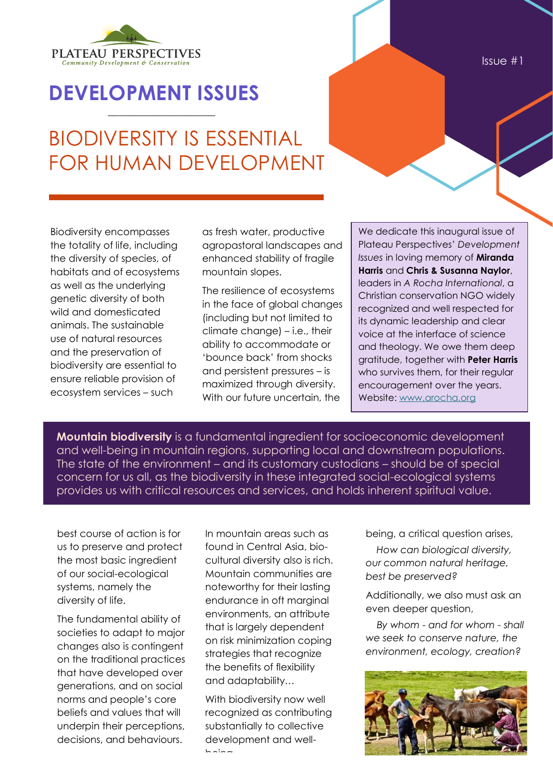

 $\mathcal{L}_\text{max}$  and  $\mathcal{L}_\text{max}$  and  $\mathcal{L}_\text{max}$  and  $\mathcal{L}_\text{max}$ 

## **DEVELOPMENT ISSUES**

## BIODIVERSITY IS ESSENTIAL FOR HUMAN DEVELOPMENT

Biodiversity encompasses the totality of life, including the diversity of species, of habitats and of ecosystems as well as the underlying genetic diversity of both wild and domesticated animals. The sustainable use of natural resources and the preservation of biodiversity are essential to ensure reliable provision of ecosystem services – such

as fresh water, productive agropastoral landscapes and enhanced stability of fragile mountain slopes.

The resilience of ecosystems in the face of global changes (including but not limited to climate change) – i.e., their ability to accommodate or 'bounce back' from shocks and persistent pressures – is maximized through diversity. With our future uncertain, the

We dedicate this inaugural issue of Plateau Perspectives' *Development Issues* in loving memory of **Miranda Harris** and **Chris & Susanna Naylor**, leaders in *A Rocha International*, a Christian conservation NGO widely recognized and well respected for its dynamic leadership and clear voice at the interface of science and theology. We owe them deep gratitude, together with **Peter Harris** who survives them, for their regular encouragement over the years. Website: [www.arocha.org](http://www.arocha.org/)

**Mountain biodiversity** is a fundamental ingredient for socioeconomic development and well-being in mountain regions, supporting local and downstream populations. The state of the environment – and its customary custodians – should be of special concern for us all, as the biodiversity in these integrated social-ecological systems provides us with critical resources and services, and holds inherent spiritual value.

best course of action is for us to preserve and protect the most basic ingredient of our social-ecological systems, namely the diversity of life.

The fundamental ability of societies to adapt to major changes also is contingent on the traditional practices that have developed over generations, and on social norms and people's core beliefs and values that will underpin their perceptions, decisions, and behaviours.

In mountain areas such as found in Central Asia, biocultural diversity also is rich. Mountain communities are noteworthy for their lasting endurance in oft marginal environments, an attribute that is largely dependent on risk minimization coping strategies that recognize the benefits of flexibility and adaptability…

With biodiversity now well recognized as contributing substantially to collective development and well $h \sim h \sim$ 

being, a critical question arises,

 *How can biological diversity, our common natural heritage, best be preserved?*

Additionally, we also must ask an even deeper question,

 *By whom - and for whom - shall we seek to conserve nature, the environment, ecology, creation?*



Issue #1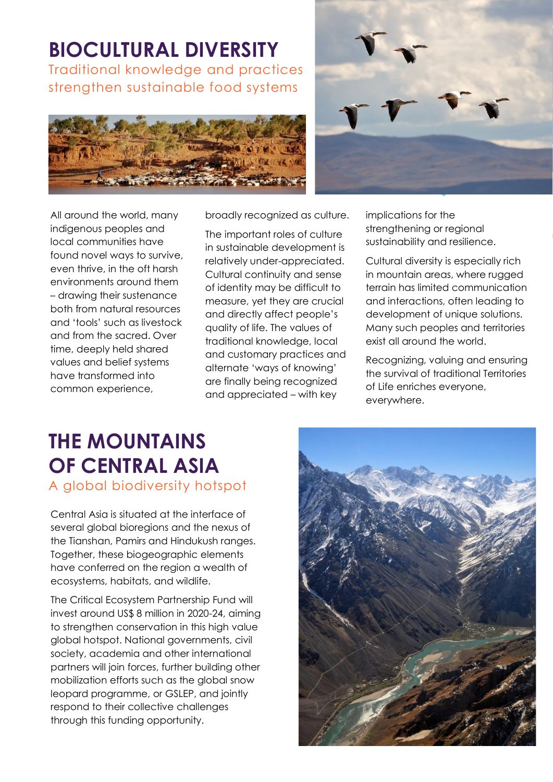# **BIOCULTURAL DIVERSITY**

Traditional knowledge and practices strengthen sustainable food systems





All around the world, many indigenous peoples and local communities have found novel ways to survive, even thrive, in the oft harsh environments around them – drawing their sustenance both from natural resources and 'tools' such as livestock and from the sacred. Over time, deeply held shared values and belief systems have transformed into common experience,

broadly recognized as culture.

The important roles of culture in sustainable development is relatively under-appreciated. Cultural continuity and sense of identity may be difficult to measure, yet they are crucial and directly affect people's quality of life. The values of traditional knowledge, local and customary practices and alternate 'ways of knowing' are finally being recognized and appreciated – with key

implications for the strengthening or regional sustainability and resilience.

Cultural diversity is especially rich in mountain areas, where rugged terrain has limited communication and interactions, often leading to development of unique solutions. Many such peoples and territories exist all around the world.

Recognizing, valuing and ensuring the survival of traditional Territories of Life enriches everyone, everywhere.

### **THE MOUNTAINS OF CENTRAL ASIA** A global biodiversity hotspot

Central Asia is situated at the interface of several global bioregions and the nexus of the Tianshan, Pamirs and Hindukush ranges. Together, these biogeographic elements have conferred on the region a wealth of ecosystems, habitats, and wildlife.

The Critical Ecosystem Partnership Fund will invest around US\$ 8 million in 2020-24, aiming to strengthen conservation in this high value global hotspot. National governments, civil society, academia and other international partners will join forces, further building other mobilization efforts such as the global snow leopard programme, or GSLEP, and jointly respond to their collective challenges through this funding opportunity.

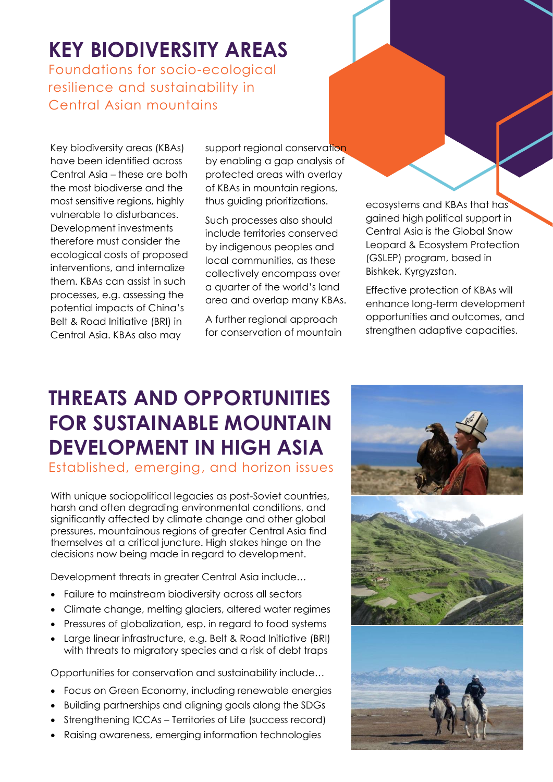## **KEY BIODIVERSITY AREAS**

Foundations for socio-ecological resilience and sustainability in Central Asian mountains

Key biodiversity areas (KBAs) have been identified across Central Asia – these are both the most biodiverse and the most sensitive regions, highly vulnerable to disturbances. Development investments therefore must consider the ecological costs of proposed interventions, and internalize them. KBAs can assist in such processes, e.g. assessing the potential impacts of China's Belt & Road Initiative (BRI) in Central Asia. KBAs also may

support regional conservation by enabling a gap analysis of protected areas with overlay of KBAs in mountain regions, thus guiding prioritizations.

Such processes also should include territories conserved by indigenous peoples and local communities, as these collectively encompass over a quarter of the world's land area and overlap many KBAs.

A further regional approach for conservation of mountain ecosystems and KBAs that has gained high political support in Central Asia is the Global Snow Leopard & Ecosystem Protection (GSLEP) program, based in Bishkek, Kyrgyzstan.

Effective protection of KBAs will enhance long-term development opportunities and outcomes, and strengthen adaptive capacities.

## **THREATS AND OPPORTUNITIES FOR SUSTAINABLE MOUNTAIN DEVELOPMENT IN HIGH ASIA**

Established, emerging, and horizon issues

With unique sociopolitical legacies as post-Soviet countries, harsh and often degrading environmental conditions, and significantly affected by climate change and other global pressures, mountainous regions of greater Central Asia find themselves at a critical juncture. High stakes hinge on the decisions now being made in regard to development.

Development threats in greater Central Asia include…

- Failure to mainstream biodiversity across all sectors
- Climate change, melting glaciers, altered water regimes
- Pressures of globalization, esp. in regard to food systems
- Large linear infrastructure, e.g. Belt & Road Initiative (BRI) with threats to migratory species and a risk of debt traps

Opportunities for conservation and sustainability include…

- Focus on Green Economy, including renewable energies
- Building partnerships and aligning goals along the SDGs
- Strengthening ICCAs Territories of Life (success record)
- Raising awareness, emerging information technologies